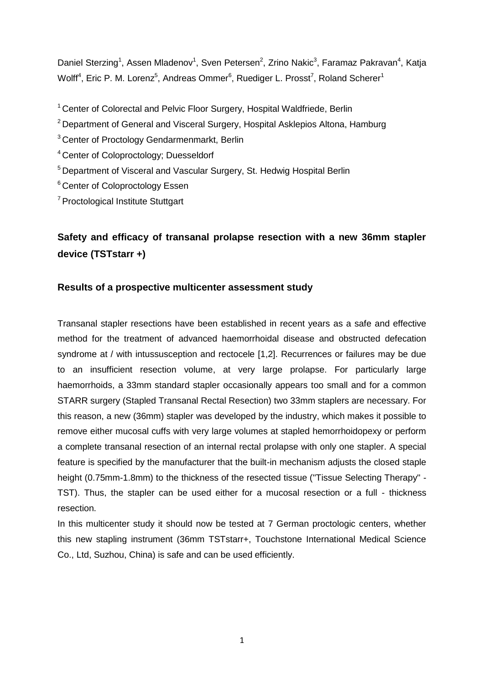Daniel Sterzing<sup>1</sup>, Assen Mladenov<sup>1</sup>, Sven Petersen<sup>2</sup>, Zrino Nakic<sup>3</sup>, Faramaz Pakravan<sup>4</sup>, Katja Wolff<sup>4</sup>, Eric P. M. Lorenz<sup>5</sup>, Andreas Ommer<sup>6</sup>, Ruediger L. Prosst<sup>7</sup>, Roland Scherer<sup>1</sup>

- <sup>1</sup> Center of Colorectal and Pelvic Floor Surgery, Hospital Waldfriede, Berlin
- <sup>2</sup> Department of General and Visceral Surgery, Hospital Asklepios Altona, Hamburg
- <sup>3</sup> Center of Proctology Gendarmenmarkt, Berlin
- <sup>4</sup> Center of Coloproctology; Duesseldorf
- <sup>5</sup> Department of Visceral and Vascular Surgery, St. Hedwig Hospital Berlin
- <sup>6</sup> Center of Coloproctology Essen
- <sup>7</sup> Proctological Institute Stuttgart

# **Safety and efficacy of transanal prolapse resection with a new 36mm stapler device (TSTstarr +)**

# **Results of a prospective multicenter assessment study**

Transanal stapler resections have been established in recent years as a safe and effective method for the treatment of advanced haemorrhoidal disease and obstructed defecation syndrome at / with intussusception and rectocele [1,2]. Recurrences or failures may be due to an insufficient resection volume, at very large prolapse. For particularly large haemorrhoids, a 33mm standard stapler occasionally appears too small and for a common STARR surgery (Stapled Transanal Rectal Resection) two 33mm staplers are necessary. For this reason, a new (36mm) stapler was developed by the industry, which makes it possible to remove either mucosal cuffs with very large volumes at stapled hemorrhoidopexy or perform a complete transanal resection of an internal rectal prolapse with only one stapler. A special feature is specified by the manufacturer that the built-in mechanism adjusts the closed staple height (0.75mm-1.8mm) to the thickness of the resected tissue ("Tissue Selecting Therapy" - TST). Thus, the stapler can be used either for a mucosal resection or a full - thickness resection.

In this multicenter study it should now be tested at 7 German proctologic centers, whether this new stapling instrument (36mm TSTstarr+, Touchstone International Medical Science Co., Ltd, Suzhou, China) is safe and can be used efficiently.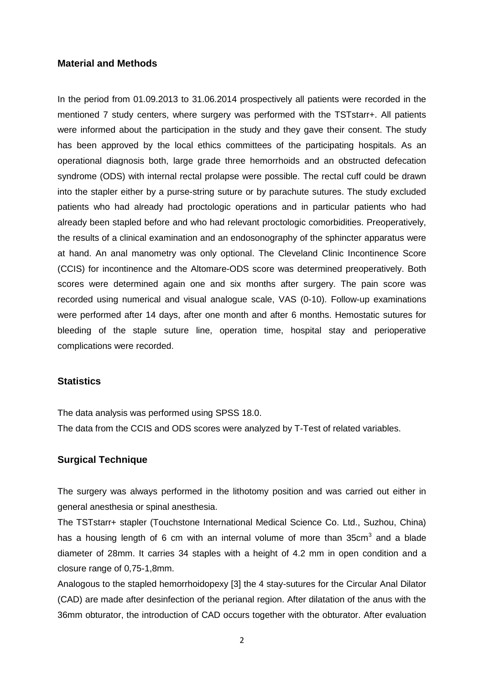## **Material and Methods**

In the period from 01.09.2013 to 31.06.2014 prospectively all patients were recorded in the mentioned 7 study centers, where surgery was performed with the TSTstarr+. All patients were informed about the participation in the study and they gave their consent. The study has been approved by the local ethics committees of the participating hospitals. As an operational diagnosis both, large grade three hemorrhoids and an obstructed defecation syndrome (ODS) with internal rectal prolapse were possible. The rectal cuff could be drawn into the stapler either by a purse-string suture or by parachute sutures. The study excluded patients who had already had proctologic operations and in particular patients who had already been stapled before and who had relevant proctologic comorbidities. Preoperatively, the results of a clinical examination and an endosonography of the sphincter apparatus were at hand. An anal manometry was only optional. The Cleveland Clinic Incontinence Score (CCIS) for incontinence and the Altomare-ODS score was determined preoperatively. Both scores were determined again one and six months after surgery. The pain score was recorded using numerical and visual analogue scale, VAS (0-10). Follow-up examinations were performed after 14 days, after one month and after 6 months. Hemostatic sutures for bleeding of the staple suture line, operation time, hospital stay and perioperative complications were recorded.

## **Statistics**

The data analysis was performed using SPSS 18.0.

The data from the CCIS and ODS scores were analyzed by T-Test of related variables.

## **Surgical Technique**

The surgery was always performed in the lithotomy position and was carried out either in general anesthesia or spinal anesthesia.

The TSTstarr+ stapler (Touchstone International Medical Science Co. Ltd., Suzhou, China) has a housing length of 6 cm with an internal volume of more than  $35cm<sup>3</sup>$  and a blade diameter of 28mm. It carries 34 staples with a height of 4.2 mm in open condition and a closure range of 0,75-1,8mm.

Analogous to the stapled hemorrhoidopexy [3] the 4 stay-sutures for the Circular Anal Dilator (CAD) are made after desinfection of the perianal region. After dilatation of the anus with the 36mm obturator, the introduction of CAD occurs together with the obturator. After evaluation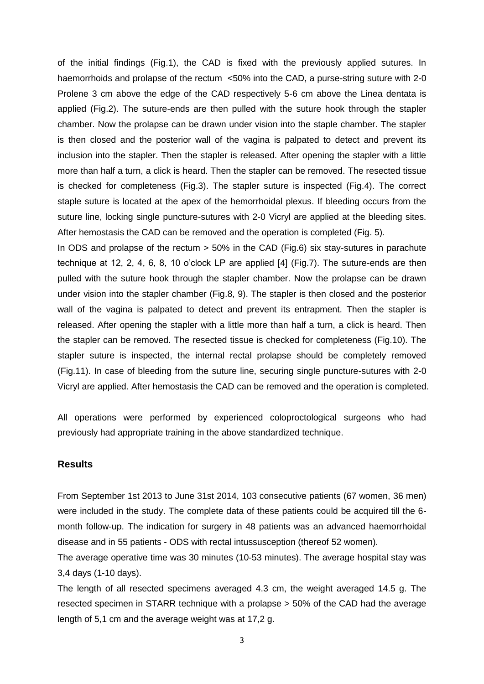of the initial findings (Fig.1), the CAD is fixed with the previously applied sutures. In haemorrhoids and prolapse of the rectum <50% into the CAD, a purse-string suture with 2-0 Prolene 3 cm above the edge of the CAD respectively 5-6 cm above the Linea dentata is applied (Fig.2). The suture-ends are then pulled with the suture hook through the stapler chamber. Now the prolapse can be drawn under vision into the staple chamber. The stapler is then closed and the posterior wall of the vagina is palpated to detect and prevent its inclusion into the stapler. Then the stapler is released. After opening the stapler with a little more than half a turn, a click is heard. Then the stapler can be removed. The resected tissue is checked for completeness (Fig.3). The stapler suture is inspected (Fig.4). The correct staple suture is located at the apex of the hemorrhoidal plexus. If bleeding occurs from the suture line, locking single puncture-sutures with 2-0 Vicryl are applied at the bleeding sites. After hemostasis the CAD can be removed and the operation is completed (Fig. 5).

In ODS and prolapse of the rectum > 50% in the CAD (Fig.6) six stay-sutures in parachute technique at 12, 2, 4, 6, 8, 10 o'clock LP are applied [4] (Fig.7). The suture-ends are then pulled with the suture hook through the stapler chamber. Now the prolapse can be drawn under vision into the stapler chamber (Fig.8, 9). The stapler is then closed and the posterior wall of the vagina is palpated to detect and prevent its entrapment. Then the stapler is released. After opening the stapler with a little more than half a turn, a click is heard. Then the stapler can be removed. The resected tissue is checked for completeness (Fig.10). The stapler suture is inspected, the internal rectal prolapse should be completely removed (Fig.11). In case of bleeding from the suture line, securing single puncture-sutures with 2-0 Vicryl are applied. After hemostasis the CAD can be removed and the operation is completed.

All operations were performed by experienced coloproctological surgeons who had previously had appropriate training in the above standardized technique.

## **Results**

From September 1st 2013 to June 31st 2014, 103 consecutive patients (67 women, 36 men) were included in the study. The complete data of these patients could be acquired till the 6 month follow-up. The indication for surgery in 48 patients was an advanced haemorrhoidal disease and in 55 patients - ODS with rectal intussusception (thereof 52 women).

The average operative time was 30 minutes (10-53 minutes). The average hospital stay was 3,4 days (1-10 days).

The length of all resected specimens averaged 4.3 cm, the weight averaged 14.5 g. The resected specimen in STARR technique with a prolapse > 50% of the CAD had the average length of 5,1 cm and the average weight was at 17,2 g.

3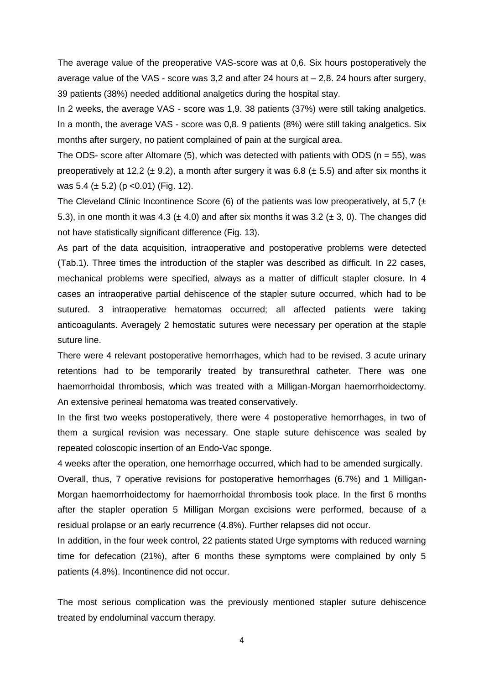The average value of the preoperative VAS-score was at 0,6. Six hours postoperatively the average value of the VAS - score was  $3,2$  and after 24 hours at  $-2,8$ . 24 hours after surgery, 39 patients (38%) needed additional analgetics during the hospital stay.

In 2 weeks, the average VAS - score was 1,9. 38 patients (37%) were still taking analgetics. In a month, the average VAS - score was 0,8. 9 patients (8%) were still taking analgetics. Six months after surgery, no patient complained of pain at the surgical area.

The ODS- score after Altomare (5), which was detected with patients with ODS ( $n = 55$ ), was preoperatively at 12,2 ( $\pm$  9.2), a month after surgery it was 6.8 ( $\pm$  5.5) and after six months it was  $5.4 \ (\pm 5.2) \ (p \ < 0.01) \ (Fig. 12).$ 

The Cleveland Clinic Incontinence Score (6) of the patients was low preoperatively, at 5,7 ( $\pm$ 5.3), in one month it was 4.3 ( $\pm$  4.0) and after six months it was 3.2 ( $\pm$  3, 0). The changes did not have statistically significant difference (Fig. 13).

As part of the data acquisition, intraoperative and postoperative problems were detected (Tab.1). Three times the introduction of the stapler was described as difficult. In 22 cases, mechanical problems were specified, always as a matter of difficult stapler closure. In 4 cases an intraoperative partial dehiscence of the stapler suture occurred, which had to be sutured. 3 intraoperative hematomas occurred; all affected patients were taking anticoagulants. Averagely 2 hemostatic sutures were necessary per operation at the staple suture line.

There were 4 relevant postoperative hemorrhages, which had to be revised. 3 acute urinary retentions had to be temporarily treated by transurethral catheter. There was one haemorrhoidal thrombosis, which was treated with a Milligan-Morgan haemorrhoidectomy. An extensive perineal hematoma was treated conservatively.

In the first two weeks postoperatively, there were 4 postoperative hemorrhages, in two of them a surgical revision was necessary. One staple suture dehiscence was sealed by repeated coloscopic insertion of an Endo-Vac sponge.

4 weeks after the operation, one hemorrhage occurred, which had to be amended surgically.

Overall, thus, 7 operative revisions for postoperative hemorrhages (6.7%) and 1 Milligan-Morgan haemorrhoidectomy for haemorrhoidal thrombosis took place. In the first 6 months after the stapler operation 5 Milligan Morgan excisions were performed, because of a residual prolapse or an early recurrence (4.8%). Further relapses did not occur.

In addition, in the four week control, 22 patients stated Urge symptoms with reduced warning time for defecation (21%), after 6 months these symptoms were complained by only 5 patients (4.8%). Incontinence did not occur.

The most serious complication was the previously mentioned stapler suture dehiscence treated by endoluminal vaccum therapy.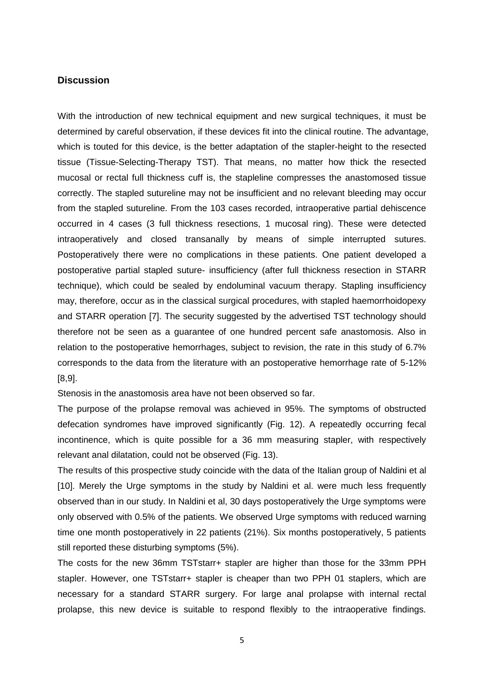## **Discussion**

With the introduction of new technical equipment and new surgical techniques, it must be determined by careful observation, if these devices fit into the clinical routine. The advantage, which is touted for this device, is the better adaptation of the stapler-height to the resected tissue (Tissue-Selecting-Therapy TST). That means, no matter how thick the resected mucosal or rectal full thickness cuff is, the stapleline compresses the anastomosed tissue correctly. The stapled sutureline may not be insufficient and no relevant bleeding may occur from the stapled sutureline. From the 103 cases recorded, intraoperative partial dehiscence occurred in 4 cases (3 full thickness resections, 1 mucosal ring). These were detected intraoperatively and closed transanally by means of simple interrupted sutures. Postoperatively there were no complications in these patients. One patient developed a postoperative partial stapled suture- insufficiency (after full thickness resection in STARR technique), which could be sealed by endoluminal vacuum therapy. Stapling insufficiency may, therefore, occur as in the classical surgical procedures, with stapled haemorrhoidopexy and STARR operation [7]. The security suggested by the advertised TST technology should therefore not be seen as a guarantee of one hundred percent safe anastomosis. Also in relation to the postoperative hemorrhages, subject to revision, the rate in this study of 6.7% corresponds to the data from the literature with an postoperative hemorrhage rate of 5-12% [8,9].

Stenosis in the anastomosis area have not been observed so far.

The purpose of the prolapse removal was achieved in 95%. The symptoms of obstructed defecation syndromes have improved significantly (Fig. 12). A repeatedly occurring fecal incontinence, which is quite possible for a 36 mm measuring stapler, with respectively relevant anal dilatation, could not be observed (Fig. 13).

The results of this prospective study coincide with the data of the Italian group of Naldini et al [10]. Merely the Urge symptoms in the study by Naldini et al. were much less frequently observed than in our study. In Naldini et al, 30 days postoperatively the Urge symptoms were only observed with 0.5% of the patients. We observed Urge symptoms with reduced warning time one month postoperatively in 22 patients (21%). Six months postoperatively, 5 patients still reported these disturbing symptoms (5%).

The costs for the new 36mm TSTstarr+ stapler are higher than those for the 33mm PPH stapler. However, one TSTstarr+ stapler is cheaper than two PPH 01 staplers, which are necessary for a standard STARR surgery. For large anal prolapse with internal rectal prolapse, this new device is suitable to respond flexibly to the intraoperative findings.

5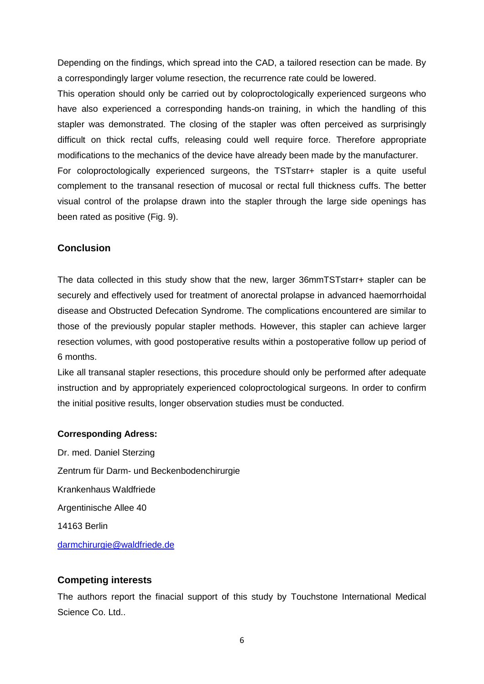Depending on the findings, which spread into the CAD, a tailored resection can be made. By a correspondingly larger volume resection, the recurrence rate could be lowered.

This operation should only be carried out by coloproctologically experienced surgeons who have also experienced a corresponding hands-on training, in which the handling of this stapler was demonstrated. The closing of the stapler was often perceived as surprisingly difficult on thick rectal cuffs, releasing could well require force. Therefore appropriate modifications to the mechanics of the device have already been made by the manufacturer. For coloproctologically experienced surgeons, the TSTstarr+ stapler is a quite useful complement to the transanal resection of mucosal or rectal full thickness cuffs. The better visual control of the prolapse drawn into the stapler through the large side openings has been rated as positive (Fig. 9).

## **Conclusion**

The data collected in this study show that the new, larger 36mmTSTstarr+ stapler can be securely and effectively used for treatment of anorectal prolapse in advanced haemorrhoidal disease and Obstructed Defecation Syndrome. The complications encountered are similar to those of the previously popular stapler methods. However, this stapler can achieve larger resection volumes, with good postoperative results within a postoperative follow up period of 6 months.

Like all transanal stapler resections, this procedure should only be performed after adequate instruction and by appropriately experienced coloproctological surgeons. In order to confirm the initial positive results, longer observation studies must be conducted.

## **Corresponding Adress:**

Dr. med. Daniel Sterzing Zentrum für Darm- und Beckenbodenchirurgie Krankenhaus Waldfriede Argentinische Allee 40 14163 Berlin [darmchirurgie@waldfriede.de](mailto:darmchirurgie@waldfriede.de)

## **Competing interests**

The authors report the finacial support of this study by Touchstone International Medical Science Co. Ltd...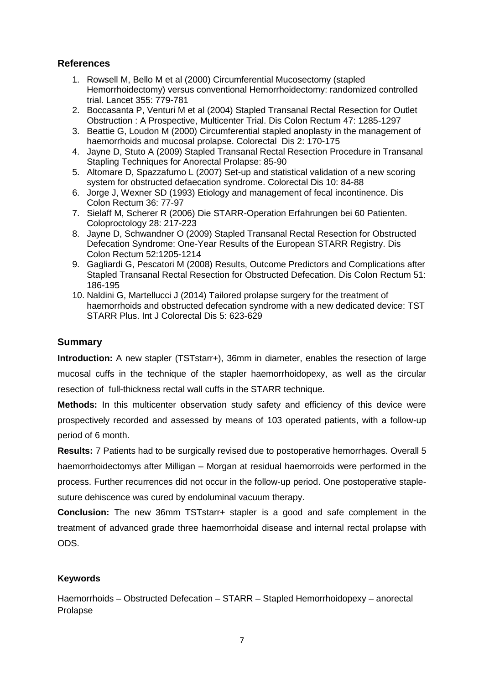# **References**

- 1. Rowsell M, Bello M et al (2000) Circumferential Mucosectomy (stapled Hemorrhoidectomy) versus conventional Hemorrhoidectomy: randomized controlled trial. Lancet 355: 779-781
- 2. Boccasanta P, Venturi M et al (2004) Stapled Transanal Rectal Resection for Outlet Obstruction : A Prospective, Multicenter Trial. Dis Colon Rectum 47: 1285-1297
- 3. Beattie G, Loudon M (2000) Circumferential stapled anoplasty in the management of haemorrhoids and mucosal prolapse. Colorectal Dis 2: 170-175
- 4. Jayne D, Stuto A (2009) Stapled Transanal Rectal Resection Procedure in Transanal Stapling Techniques for Anorectal Prolapse: 85-90
- 5. Altomare D, Spazzafumo L (2007) Set-up and statistical validation of a new scoring system for obstructed defaecation syndrome. Colorectal Dis 10: 84-88
- 6. Jorge J, Wexner SD (1993) Etiology and management of fecal incontinence. Dis Colon Rectum 36: 77-97
- 7. Sielaff M, Scherer R (2006) Die STARR-Operation Erfahrungen bei 60 Patienten. Coloproctology 28: 217-223
- 8. Jayne D, Schwandner O (2009) Stapled Transanal Rectal Resection for Obstructed Defecation Syndrome: One-Year Results of the European STARR Registry. Dis Colon Rectum 52:1205-1214
- 9. Gagliardi G, Pescatori M (2008) Results, Outcome Predictors and Complications after Stapled Transanal Rectal Resection for Obstructed Defecation. Dis Colon Rectum 51: 186-195
- 10. Naldini G, Martellucci J (2014) Tailored prolapse surgery for the treatment of haemorrhoids and obstructed defecation syndrome with a new dedicated device: TST STARR Plus. Int J Colorectal Dis 5: 623-629

# **Summary**

**Introduction:** A new stapler (TSTstarr+), 36mm in diameter, enables the resection of large mucosal cuffs in the technique of the stapler haemorrhoidopexy, as well as the circular resection of full-thickness rectal wall cuffs in the STARR technique.

**Methods:** In this multicenter observation study safety and efficiency of this device were prospectively recorded and assessed by means of 103 operated patients, with a follow-up period of 6 month.

**Results:** 7 Patients had to be surgically revised due to postoperative hemorrhages. Overall 5 haemorrhoidectomys after Milligan – Morgan at residual haemorroids were performed in the process. Further recurrences did not occur in the follow-up period. One postoperative staplesuture dehiscence was cured by endoluminal vacuum therapy.

**Conclusion:** The new 36mm TSTstarr+ stapler is a good and safe complement in the treatment of advanced grade three haemorrhoidal disease and internal rectal prolapse with ODS.

## **Keywords**

Haemorrhoids – Obstructed Defecation – STARR – Stapled Hemorrhoidopexy – anorectal Prolapse